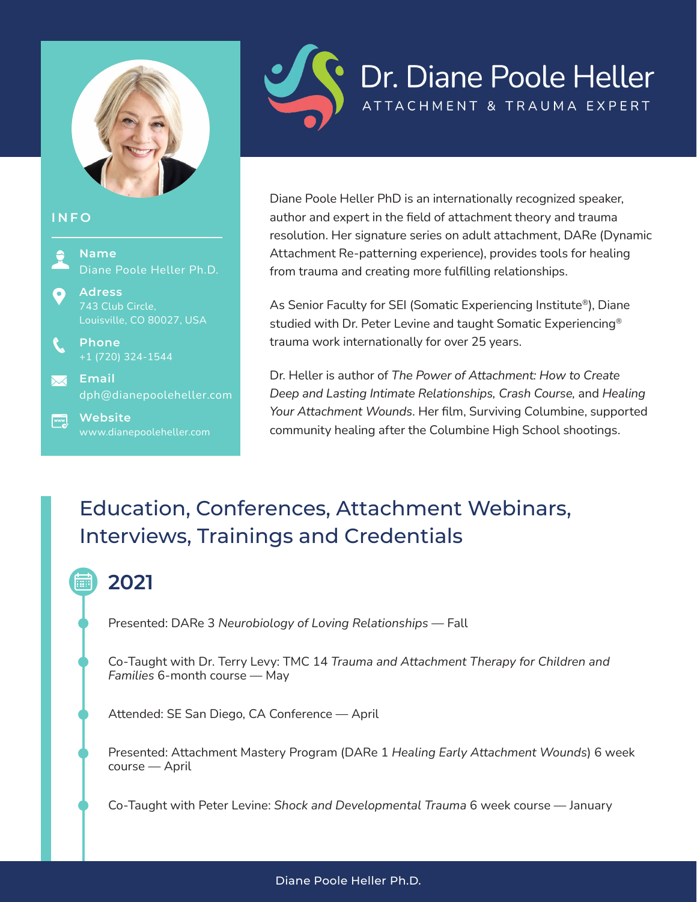

#### **INFO**



www.dianepooleheller.com



Diane Poole Heller PhD is an internationally recognized speaker, author and expert in the field of attachment theory and trauma resolution. Her signature series on adult attachment, DARe (Dynamic Attachment Re-patterning experience), provides tools for healing from trauma and creating more fulfilling relationships.

As Senior Faculty for SEI (Somatic Experiencing Institute®), Diane studied with Dr. Peter Levine and taught Somatic Experiencing® trauma work internationally for over 25 years.

Dr. Heller is author of *The Power of Attachment: How to Create Deep and Lasting Intimate Relationships, Crash Course,* and *Healing Your Attachment Wounds*. Her film, Surviving Columbine, supported community healing after the Columbine High School shootings.

## Education, Conferences, Attachment Webinars, Interviews, Trainings and Credentials

## **2021**

Presented: DARe 3 *Neurobiology of Loving Relationships* — Fall

Co-Taught with Dr. Terry Levy: TMC 14 *Trauma and Attachment Therapy for Children and Families* 6-month course — May

Attended: SE San Diego, CA Conference — April

Presented: Attachment Mastery Program (DARe 1 *Healing Early Attachment Wounds*) 6 week course — April

Co-Taught with Peter Levine: *Shock and Developmental Trauma* 6 week course — January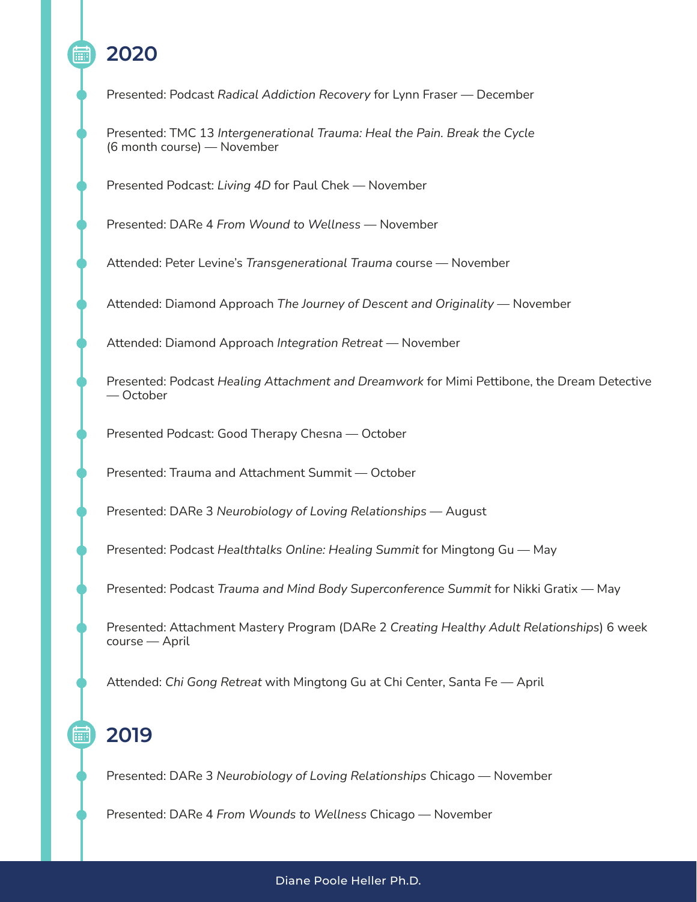## **2020**

Presented: Podcast *Radical Addiction Recovery* for Lynn Fraser — December

Presented: TMC 13 *Intergenerational Trauma: Heal the Pain. Break the Cycle* (6 month course) — November

Presented Podcast: *Living 4D* for Paul Chek — November

Presented: DARe 4 *From Wound to Wellness* — November

Attended: Peter Levine's *Transgenerational Trauma* course — November

Attended: Diamond Approach *The Journey of Descent and Originality* — November

Attended: Diamond Approach *Integration Retreat* — November

Presented: Podcast *Healing Attachment and Dreamwork* for Mimi Pettibone, the Dream Detective — October

Presented Podcast: Good Therapy Chesna — October

Presented: Trauma and Attachment Summit — October

Presented: DARe 3 *Neurobiology of Loving Relationships* — August

Presented: Podcast *Healthtalks Online: Healing Summit* for Mingtong Gu — May

Presented: Podcast *Trauma and Mind Body Superconference Summit* for Nikki Gratix — May

Presented: Attachment Mastery Program (DARe 2 *Creating Healthy Adult Relationships*) 6 week course — April

Attended: *Chi Gong Retreat* with Mingtong Gu at Chi Center, Santa Fe — April

#### **2019**

扁

Presented: DARe 3 *Neurobiology of Loving Relationships* Chicago — November

Presented: DARe 4 *From Wounds to Wellness* Chicago — November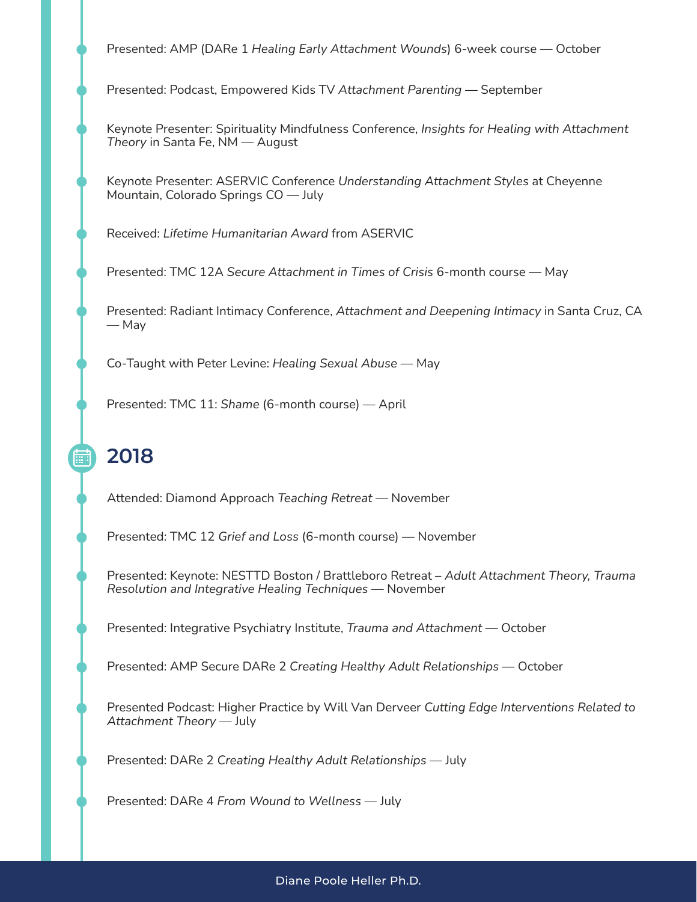Presented: AMP (DARe 1 *Healing Early Attachment Wounds*) 6-week course — October

Presented: Podcast, Empowered Kids TV *Attachment Parenting* — September

Keynote Presenter: Spirituality Mindfulness Conference, *Insights for Healing with Attachment Theory* in Santa Fe, NM — August

Keynote Presenter: ASERVIC Conference *Understanding Attachment Styles* at Cheyenne Mountain, Colorado Springs CO — July

Received: *Lifetime Humanitarian Award* from ASERVIC

Presented: TMC 12A *Secure Attachment in Times of Crisis* 6-month course — May

Presented: Radiant Intimacy Conference, *Attachment and Deepening Intimacy* in Santa Cruz, CA — May

Co-Taught with Peter Levine: *Healing Sexual Abuse* — May

Presented: TMC 11: *Shame* (6-month course) — April

## **2018**

扁

Attended: Diamond Approach *Teaching Retreat* — November

Presented: TMC 12 *Grief and Loss* (6-month course) — November

Presented: Keynote: NESTTD Boston / Brattleboro Retreat – *Adult Attachment Theory, Trauma Resolution and Integrative Healing Techniques* — November

Presented: Integrative Psychiatry Institute, *Trauma and Attachment* — October

Presented: AMP Secure DARe 2 *Creating Healthy Adult Relationships* — October

Presented Podcast: Higher Practice by Will Van Derveer *Cutting Edge Interventions Related to Attachment Theory* — July

Presented: DARe 2 *Creating Healthy Adult Relationships* — July

Presented: DARe 4 *From Wound to Wellness* — July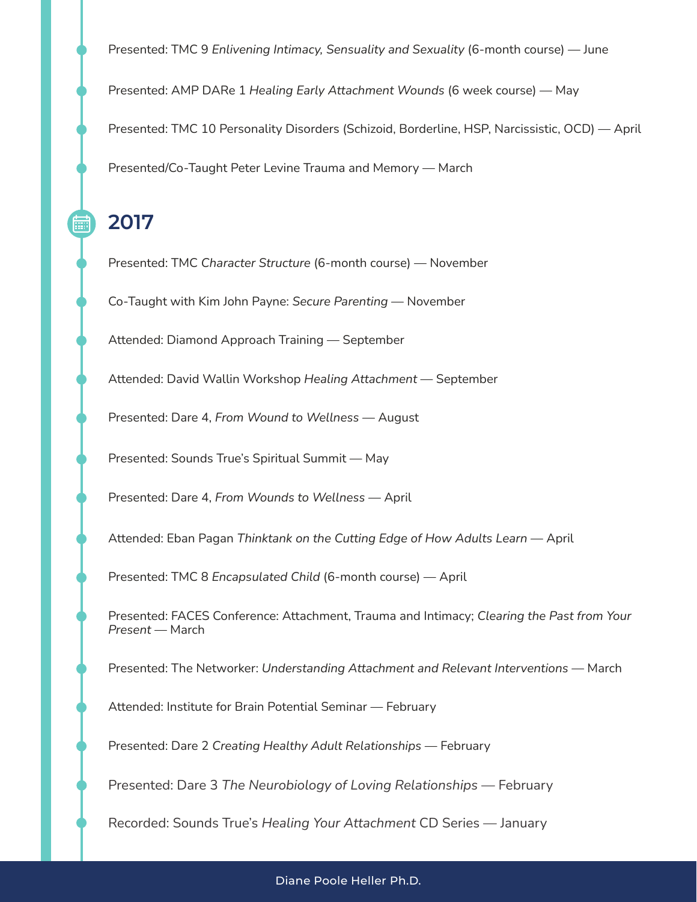Presented: TMC 9 *Enlivening Intimacy, Sensuality and Sexuality* (6-month course) — June Presented: AMP DARe 1 *Healing Early Attachment Wounds* (6 week course) — May Presented: TMC 10 Personality Disorders (Schizoid, Borderline, HSP, Narcissistic, OCD) — April Presented/Co-Taught Peter Levine Trauma and Memory — March

**2017**

Presented: TMC *Character Structure* (6-month course) — November

Co-Taught with Kim John Payne: *Secure Parenting* — November

Attended: Diamond Approach Training — September

Attended: David Wallin Workshop *Healing Attachment* — September

Presented: Dare 4, *From Wound to Wellness* — August

Presented: Sounds True's Spiritual Summit — May

Presented: Dare 4, *From Wounds to Wellness* — April

Attended: Eban Pagan *Thinktank on the Cutting Edge of How Adults Learn* — April

Presented: TMC 8 *Encapsulated Child* (6-month course) — April

Presented: FACES Conference: Attachment, Trauma and Intimacy; *Clearing the Past from Your Present* — March

Presented: The Networker: *Understanding Attachment and Relevant Interventions* — March

Attended: Institute for Brain Potential Seminar — February

Presented: Dare 2 *Creating Healthy Adult Relationships* — February

Presented: Dare 3 *The Neurobiology of Loving Relationships* — February

Recorded: Sounds True's *Healing Your Attachment* CD Series — January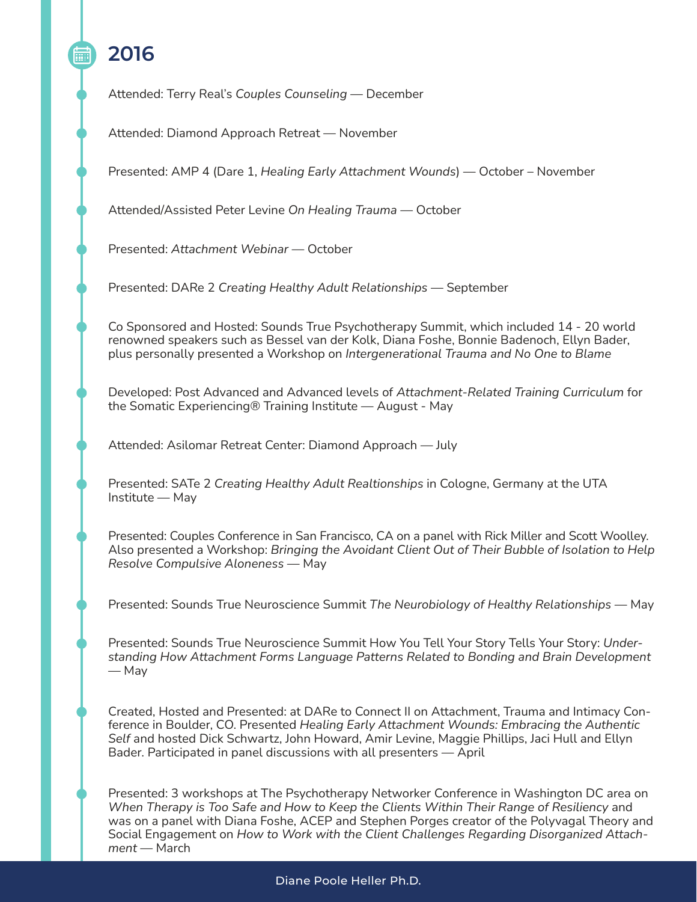# **2016**

Attended: Terry Real's *Couples Counseling* — December

Attended: Diamond Approach Retreat — November

Presented: AMP 4 (Dare 1, *Healing Early Attachment Wounds*) — October – November

Attended/Assisted Peter Levine *On Healing Trauma* — October

Presented: *Attachment Webinar* — October

Presented: DARe 2 *Creating Healthy Adult Relationships* — September

Co Sponsored and Hosted: Sounds True Psychotherapy Summit, which included 14 - 20 world renowned speakers such as Bessel van der Kolk, Diana Foshe, Bonnie Badenoch, Ellyn Bader, plus personally presented a Workshop on *Intergenerational Trauma and No One to Blame*

Developed: Post Advanced and Advanced levels of *Attachment-Related Training Curriculum* for the Somatic Experiencing® Training Institute — August - May

Attended: Asilomar Retreat Center: Diamond Approach — July

Presented: SATe 2 *Creating Healthy Adult Realtionships* in Cologne, Germany at the UTA Institute — May

Presented: Couples Conference in San Francisco, CA on a panel with Rick Miller and Scott Woolley. Also presented a Workshop: *Bringing the Avoidant Client Out of Their Bubble of Isolation to Help Resolve Compulsive Aloneness* — May

Presented: Sounds True Neuroscience Summit *The Neurobiology of Healthy Relationships* — May

Presented: Sounds True Neuroscience Summit How You Tell Your Story Tells Your Story: *Understanding How Attachment Forms Language Patterns Related to Bonding and Brain Development* — May

Created, Hosted and Presented: at DARe to Connect II on Attachment, Trauma and Intimacy Conference in Boulder, CO. Presented *Healing Early Attachment Wounds: Embracing the Authentic Self* and hosted Dick Schwartz, John Howard, Amir Levine, Maggie Phillips, Jaci Hull and Ellyn Bader. Participated in panel discussions with all presenters — April

Presented: 3 workshops at The Psychotherapy Networker Conference in Washington DC area on *When Therapy is Too Safe and How to Keep the Clients Within Their Range of Resiliency* and was on a panel with Diana Foshe, ACEP and Stephen Porges creator of the Polyvagal Theory and Social Engagement on *How to Work with the Client Challenges Regarding Disorganized Attachment* — March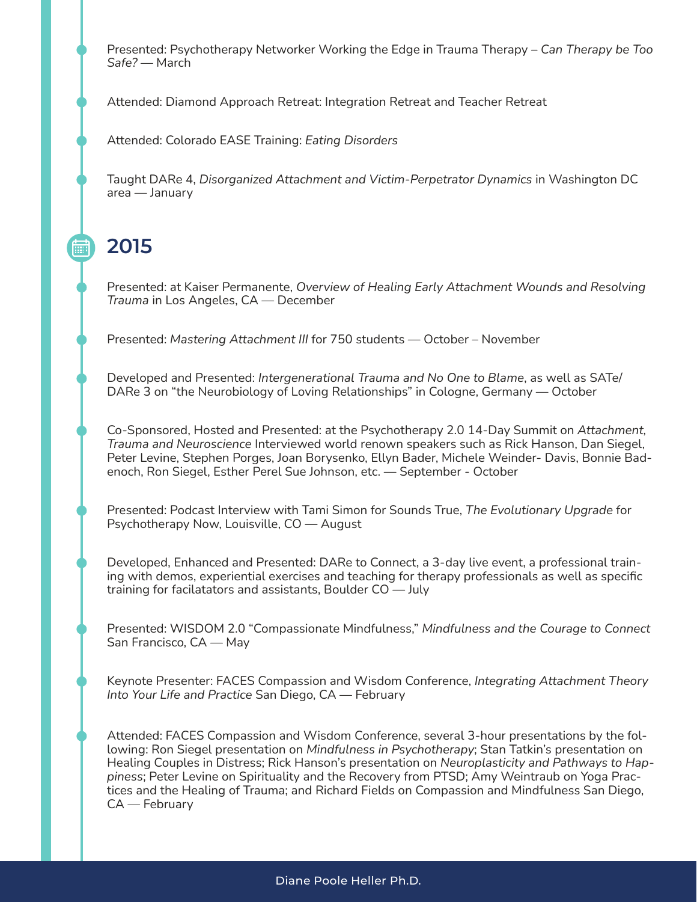Presented: Psychotherapy Networker Working the Edge in Trauma Therapy – *Can Therapy be Too Safe?* — March

Attended: Diamond Approach Retreat: Integration Retreat and Teacher Retreat

Attended: Colorado EASE Training: *Eating Disorders*

Taught DARe 4, *Disorganized Attachment and Victim-Perpetrator Dynamics* in Washington DC area — January

**2015**

酾

Presented: at Kaiser Permanente, *Overview of Healing Early Attachment Wounds and Resolving Trauma* in Los Angeles, CA — December

Presented: *Mastering Attachment III* for 750 students — October – November

Developed and Presented: *Intergenerational Trauma and No One to Blame*, as well as SATe/ DARe 3 on "the Neurobiology of Loving Relationships" in Cologne, Germany — October

Co-Sponsored, Hosted and Presented: at the Psychotherapy 2.0 14-Day Summit on *Attachment, Trauma and Neuroscience* Interviewed world renown speakers such as Rick Hanson, Dan Siegel, Peter Levine, Stephen Porges, Joan Borysenko, Ellyn Bader, Michele Weinder- Davis, Bonnie Badenoch, Ron Siegel, Esther Perel Sue Johnson, etc. — September - October

Presented: Podcast Interview with Tami Simon for Sounds True, *The Evolutionary Upgrade* for Psychotherapy Now, Louisville, CO — August

Developed, Enhanced and Presented: DARe to Connect, a 3-day live event, a professional training with demos, experiential exercises and teaching for therapy professionals as well as specific training for facilatators and assistants, Boulder CO — July

Presented: WISDOM 2.0 "Compassionate Mindfulness," *Mindfulness and the Courage to Connect* San Francisco, CA — May

Keynote Presenter: FACES Compassion and Wisdom Conference, *Integrating Attachment Theory Into Your Life and Practice* San Diego, CA — February

Attended: FACES Compassion and Wisdom Conference, several 3-hour presentations by the following: Ron Siegel presentation on *Mindfulness in Psychotherapy*; Stan Tatkin's presentation on Healing Couples in Distress; Rick Hanson's presentation on *Neuroplasticity and Pathways to Happiness*; Peter Levine on Spirituality and the Recovery from PTSD; Amy Weintraub on Yoga Practices and the Healing of Trauma; and Richard Fields on Compassion and Mindfulness San Diego, CA — February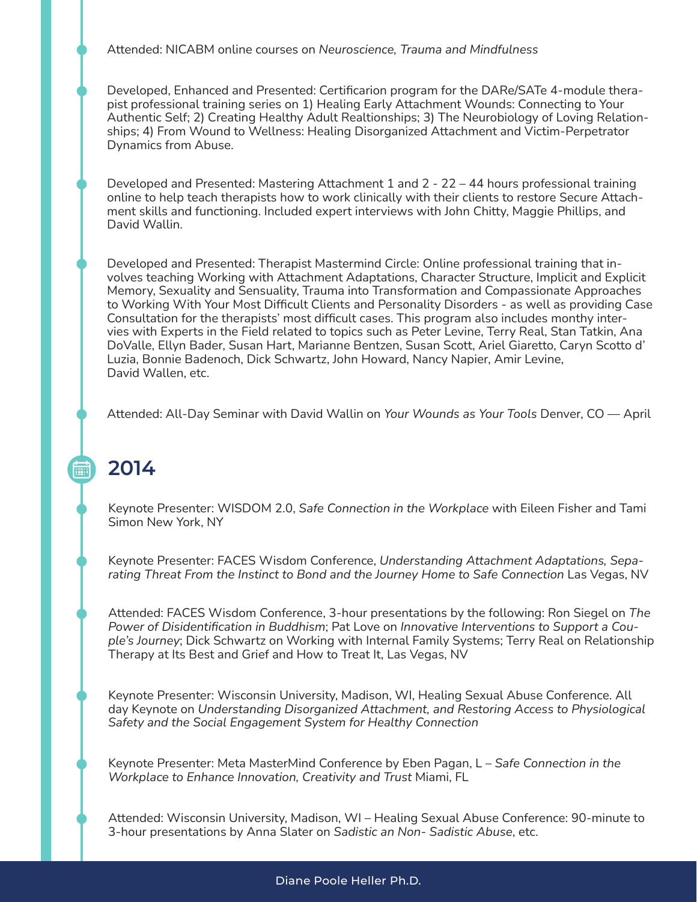Attended: NICABM online courses on *Neuroscience, Trauma and Mindfulness*

Developed, Enhanced and Presented: Certificarion program for the DARe/SATe 4-module therapist professional training series on 1) Healing Early Attachment Wounds: Connecting to Your Authentic Self; 2) Creating Healthy Adult Realtionships; 3) The Neurobiology of Loving Relationships; 4) From Wound to Wellness: Healing Disorganized Attachment and Victim-Perpetrator Dynamics from Abuse.

Developed and Presented: Mastering Attachment 1 and 2 - 22 – 44 hours professional training online to help teach therapists how to work clinically with their clients to restore Secure Attachment skills and functioning. Included expert interviews with John Chitty, Maggie Phillips, and David Wallin.

Developed and Presented: Therapist Mastermind Circle: Online professional training that involves teaching Working with Attachment Adaptations, Character Structure, Implicit and Explicit Memory, Sexuality and Sensuality, Trauma into Transformation and Compassionate Approaches to Working With Your Most Difficult Clients and Personality Disorders - as well as providing Case Consultation for the therapists' most difficult cases. This program also includes monthy intervies with Experts in the Field related to topics such as Peter Levine, Terry Real, Stan Tatkin, Ana DoValle, Ellyn Bader, Susan Hart, Marianne Bentzen, Susan Scott, Ariel Giaretto, Caryn Scotto d' Luzia, Bonnie Badenoch, Dick Schwartz, John Howard, Nancy Napier, Amir Levine, David Wallen, etc.

Attended: All-Day Seminar with David Wallin on *Your Wounds as Your Tools* Denver, CO — April

## **2014**

酾

Keynote Presenter: WISDOM 2.0, *Safe Connection in the Workplace* with Eileen Fisher and Tami Simon New York, NY

Keynote Presenter: FACES Wisdom Conference, *Understanding Attachment Adaptations, Separating Threat From the Instinct to Bond and the Journey Home to Safe Connection* Las Vegas, NV

Attended: FACES Wisdom Conference, 3-hour presentations by the following: Ron Siegel on *The Power of Disidentification in Buddhism*; Pat Love on *Innovative Interventions to Support a Couple's Journey*; Dick Schwartz on Working with Internal Family Systems; Terry Real on Relationship Therapy at Its Best and Grief and How to Treat It, Las Vegas, NV

Keynote Presenter: Wisconsin University, Madison, WI, Healing Sexual Abuse Conference. All day Keynote on *Understanding Disorganized Attachment, and Restoring Access to Physiological Safety and the Social Engagement System for Healthy Connection*

Keynote Presenter: Meta MasterMind Conference by Eben Pagan, L – *Safe Connection in the Workplace to Enhance Innovation, Creativity and Trust* Miami, FL

Attended: Wisconsin University, Madison, WI – Healing Sexual Abuse Conference: 90-minute to 3-hour presentations by Anna Slater on *Sadistic an Non- Sadistic Abuse*, etc.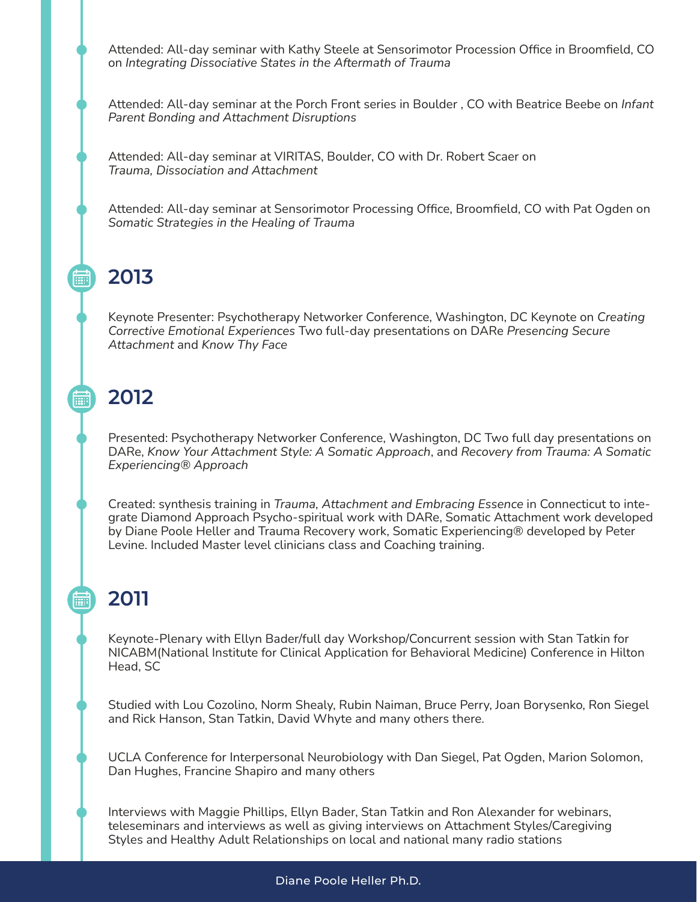Attended: All-day seminar with Kathy Steele at Sensorimotor Procession Office in Broomfield, CO on *Integrating Dissociative States in the Aftermath of Trauma*

Attended: All-day seminar at the Porch Front series in Boulder , CO with Beatrice Beebe on *Infant Parent Bonding and Attachment Disruptions*

Attended: All-day seminar at VIRITAS, Boulder, CO with Dr. Robert Scaer on *Trauma, Dissociation and Attachment*

Attended: All-day seminar at Sensorimotor Processing Office, Broomfield, CO with Pat Ogden on *Somatic Strategies in the Healing of Trauma*

#### **2013**

扁

酾

Keynote Presenter: Psychotherapy Networker Conference, Washington, DC Keynote on *Creating Corrective Emotional Experiences* Two full-day presentations on DARe *Presencing Secure Attachment* and *Know Thy Face*

#### **2012**

Presented: Psychotherapy Networker Conference, Washington, DC Two full day presentations on DARe, *Know Your Attachment Style: A Somatic Approach*, and *Recovery from Trauma: A Somatic Experiencing® Approach*

Created: synthesis training in *Trauma, Attachment and Embracing Essence* in Connecticut to integrate Diamond Approach Psycho-spiritual work with DARe, Somatic Attachment work developed by Diane Poole Heller and Trauma Recovery work, Somatic Experiencing® developed by Peter Levine. Included Master level clinicians class and Coaching training.

## **2011**

Keynote-Plenary with Ellyn Bader/full day Workshop/Concurrent session with Stan Tatkin for NICABM(National Institute for Clinical Application for Behavioral Medicine) Conference in Hilton Head, SC

Studied with Lou Cozolino, Norm Shealy, Rubin Naiman, Bruce Perry, Joan Borysenko, Ron Siegel and Rick Hanson, Stan Tatkin, David Whyte and many others there.

UCLA Conference for Interpersonal Neurobiology with Dan Siegel, Pat Ogden, Marion Solomon, Dan Hughes, Francine Shapiro and many others

Interviews with Maggie Phillips, Ellyn Bader, Stan Tatkin and Ron Alexander for webinars, teleseminars and interviews as well as giving interviews on Attachment Styles/Caregiving Styles and Healthy Adult Relationships on local and national many radio stations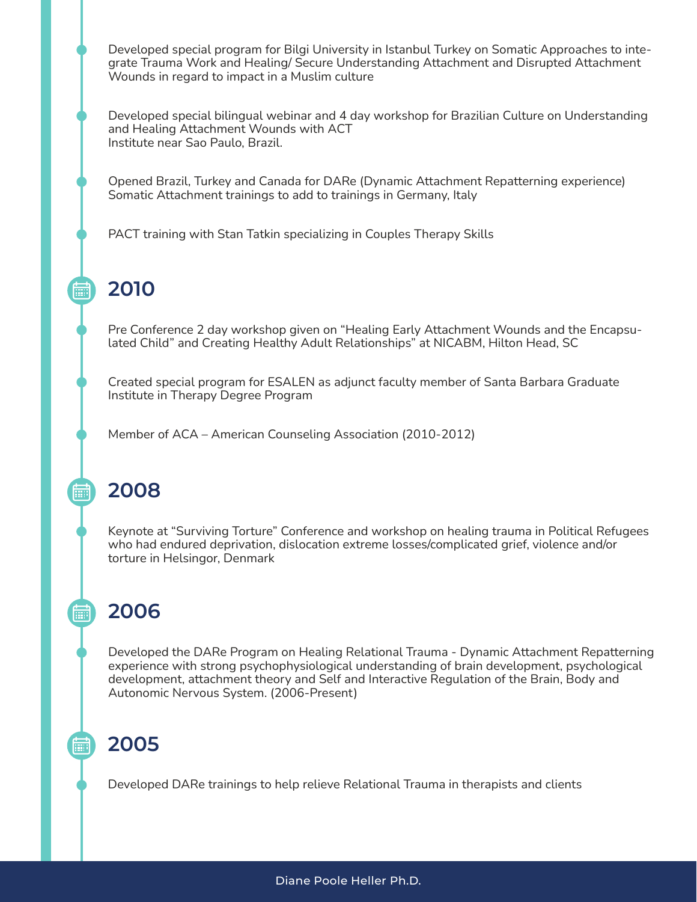Developed special program for Bilgi University in Istanbul Turkey on Somatic Approaches to integrate Trauma Work and Healing/ Secure Understanding Attachment and Disrupted Attachment Wounds in regard to impact in a Muslim culture

Developed special bilingual webinar and 4 day workshop for Brazilian Culture on Understanding and Healing Attachment Wounds with ACT Institute near Sao Paulo, Brazil.

Opened Brazil, Turkey and Canada for DARe (Dynamic Attachment Repatterning experience) Somatic Attachment trainings to add to trainings in Germany, Italy

PACT training with Stan Tatkin specializing in Couples Therapy Skills

#### **2010**

扁

酾

扁門

扁

Pre Conference 2 day workshop given on "Healing Early Attachment Wounds and the Encapsulated Child" and Creating Healthy Adult Relationships" at NICABM, Hilton Head, SC

Created special program for ESALEN as adjunct faculty member of Santa Barbara Graduate Institute in Therapy Degree Program

Member of ACA – American Counseling Association (2010-2012)

#### **2008**

Keynote at "Surviving Torture" Conference and workshop on healing trauma in Political Refugees who had endured deprivation, dislocation extreme losses/complicated grief, violence and/or torture in Helsingor, Denmark

## **2006**

Developed the DARe Program on Healing Relational Trauma - Dynamic Attachment Repatterning experience with strong psychophysiological understanding of brain development, psychological development, attachment theory and Self and Interactive Regulation of the Brain, Body and Autonomic Nervous System. (2006-Present)

## **2005**

Developed DARe trainings to help relieve Relational Trauma in therapists and clients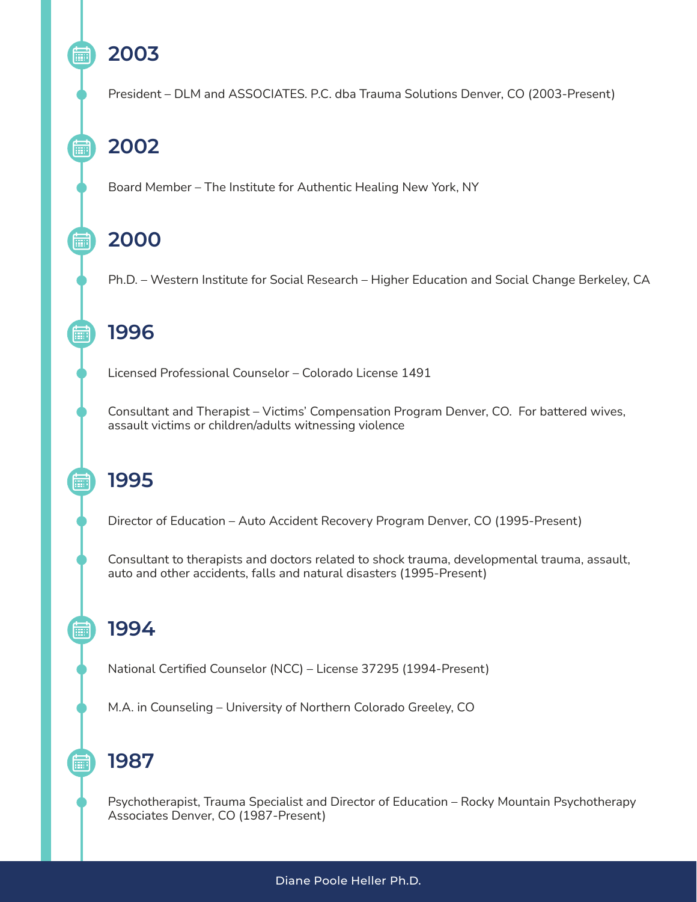# **2003**

扁

扁

扁

酾

圇

hail

翩

President – DLM and ASSOCIATES. P.C. dba Trauma Solutions Denver, CO (2003-Present)

# **2002**

Board Member – The Institute for Authentic Healing New York, NY

## **2000**

Ph.D. – Western Institute for Social Research – Higher Education and Social Change Berkeley, CA

## **1996**

Licensed Professional Counselor – Colorado License 1491

Consultant and Therapist – Victims' Compensation Program Denver, CO. For battered wives, assault victims or children/adults witnessing violence

## **1995**

Director of Education – Auto Accident Recovery Program Denver, CO (1995-Present)

Consultant to therapists and doctors related to shock trauma, developmental trauma, assault, auto and other accidents, falls and natural disasters (1995-Present)

## **1994**

National Certified Counselor (NCC) – License 37295 (1994-Present)

M.A. in Counseling – University of Northern Colorado Greeley, CO

#### **1987**

Psychotherapist, Trauma Specialist and Director of Education – Rocky Mountain Psychotherapy Associates Denver, CO (1987-Present)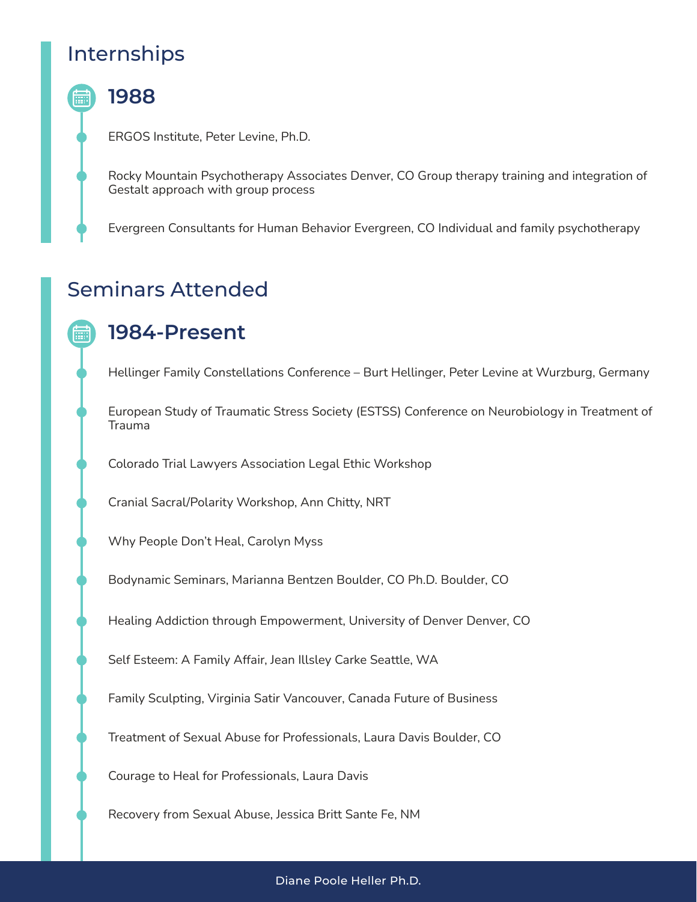#### Internships

#### **1988**

ERGOS Institute, Peter Levine, Ph.D.

Rocky Mountain Psychotherapy Associates Denver, CO Group therapy training and integration of Gestalt approach with group process

Evergreen Consultants for Human Behavior Evergreen, CO Individual and family psychotherapy

#### Seminars Attended

#### **1984-Present**

Hellinger Family Constellations Conference – Burt Hellinger, Peter Levine at Wurzburg, Germany

European Study of Traumatic Stress Society (ESTSS) Conference on Neurobiology in Treatment of Trauma

Colorado Trial Lawyers Association Legal Ethic Workshop

Cranial Sacral/Polarity Workshop, Ann Chitty, NRT

Why People Don't Heal, Carolyn Myss

Bodynamic Seminars, Marianna Bentzen Boulder, CO Ph.D. Boulder, CO

Healing Addiction through Empowerment, University of Denver Denver, CO

Self Esteem: A Family Affair, Jean Illsley Carke Seattle, WA

Family Sculpting, Virginia Satir Vancouver, Canada Future of Business

Treatment of Sexual Abuse for Professionals, Laura Davis Boulder, CO

Courage to Heal for Professionals, Laura Davis

Recovery from Sexual Abuse, Jessica Britt Sante Fe, NM